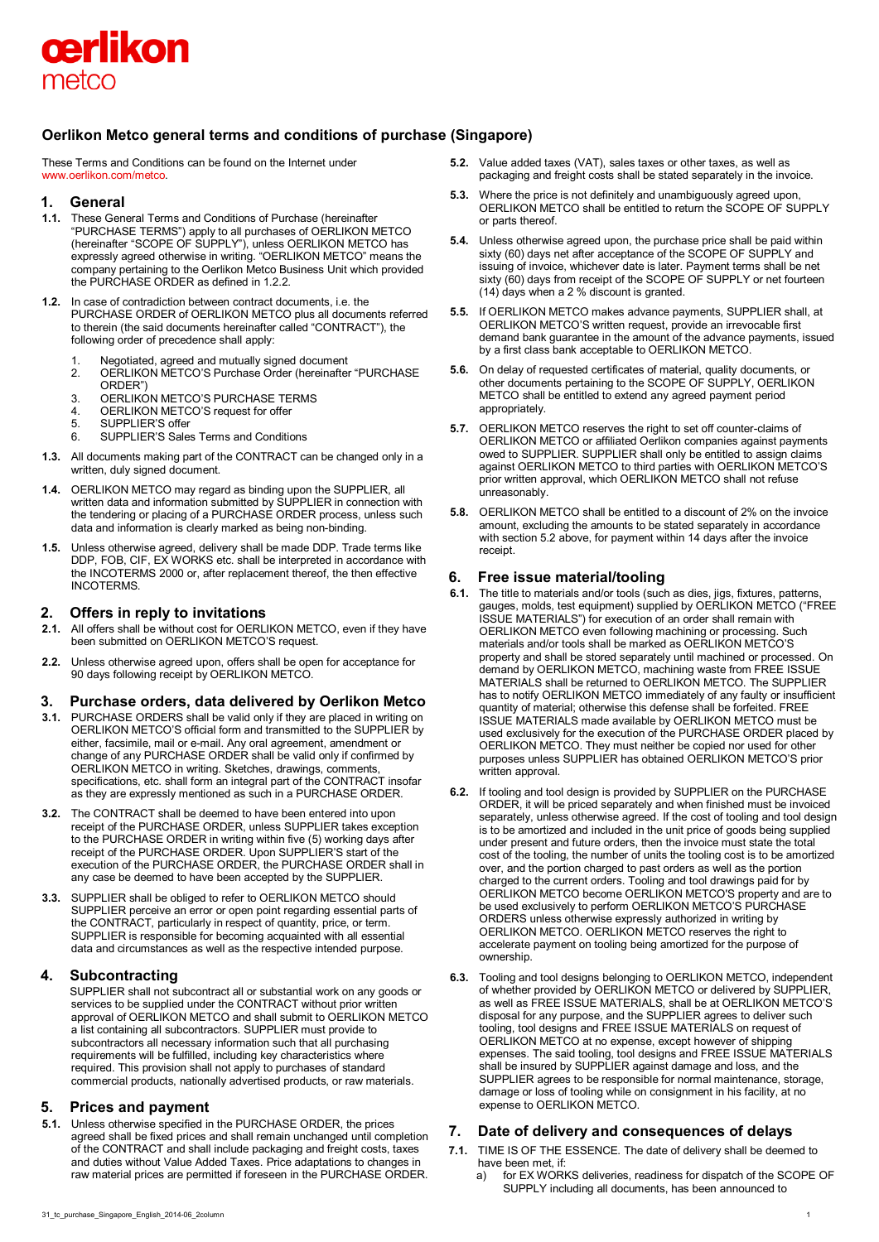

# **Oerlikon Metco general terms and conditions of purchase (Singapore)**

These Terms and Conditions can be found on the Internet under [www.oerlikon.com/metco.](http://www.oerlikon.com/metco)

## **1. General**

- **1.1.** These General Terms and Conditions of Purchase (hereinafter "PURCHASE TERMS") apply to all purchases of OERLIKON METCO (hereinafter "SCOPE OF SUPPLY"), unless OERLIKON METCO has expressly agreed otherwise in writing. "OERLIKON METCO" means the company pertaining to the Oerlikon Metco Business Unit which provided the PURCHASE ORDER as defined in 1.2.2.
- **1.2.** In case of contradiction between contract documents, i.e. the PURCHASE ORDER of OERLIKON METCO plus all documents referred to therein (the said documents hereinafter called "CONTRACT"), the following order of precedence shall apply:
	-
	- 1. Negotiated, agreed and mutually signed document<br>2. OERLIKON METCO'S Purchase Order (hereinafter 2. OERLIKON METCO'S Purchase Order (hereinafter "PURCHASE ORDER")
	-
	- 3. OERLIKON METCO'S PURCHASE TERMS<br>4. OFRI IKON METCO'S request for offer 4. OERLIKON METCO'S request for offer<br>5. SUPPLIER'S offer
	- SUPPLIER'S offer
	- 6. SUPPLIER'S Sales Terms and Conditions
- **1.3.** All documents making part of the CONTRACT can be changed only in a written, duly signed document.
- **1.4.** OERLIKON METCO may regard as binding upon the SUPPLIER, all written data and information submitted by SUPPLIER in connection with the tendering or placing of a PURCHASE ORDER process, unless such data and information is clearly marked as being non-binding.
- **1.5.** Unless otherwise agreed, delivery shall be made DDP. Trade terms like DDP, FOB, CIF, EX WORKS etc. shall be interpreted in accordance with the INCOTERMS 2000 or, after replacement thereof, the then effective INCOTERMS.

## **2. Offers in reply to invitations**

- **2.1.** All offers shall be without cost for OERLIKON METCO, even if they have been submitted on OERLIKON METCO'S request.
- **2.2.** Unless otherwise agreed upon, offers shall be open for acceptance for 90 days following receipt by OERLIKON METCO.

## **3. Purchase orders, data delivered by Oerlikon Metco**

- **3.1.** PURCHASE ORDERS shall be valid only if they are placed in writing on OERLIKON METCO'S official form and transmitted to the SUPPLIER by either, facsimile, mail or e-mail. Any oral agreement, amendment or change of any PURCHASE ORDER shall be valid only if confirmed by OERLIKON METCO in writing. Sketches, drawings, comments, specifications, etc. shall form an integral part of the CONTRACT insofar as they are expressly mentioned as such in a PURCHASE ORDER.
- **3.2.** The CONTRACT shall be deemed to have been entered into upon receipt of the PURCHASE ORDER, unless SUPPLIER takes exception to the PURCHASE ORDER in writing within five (5) working days after receipt of the PURCHASE ORDER. Upon SUPPLIER'S start of the execution of the PURCHASE ORDER, the PURCHASE ORDER shall in any case be deemed to have been accepted by the SUPPLIER.
- **3.3.** SUPPLIER shall be obliged to refer to OERLIKON METCO should SUPPLIER perceive an error or open point regarding essential parts of the CONTRACT, particularly in respect of quantity, price, or term. SUPPLIER is responsible for becoming acquainted with all essential data and circumstances as well as the respective intended purpose.

## **4. Subcontracting**

SUPPLIER shall not subcontract all or substantial work on any goods or services to be supplied under the CONTRACT without prior written approval of OERLIKON METCO and shall submit to OERLIKON METCO a list containing all subcontractors. SUPPLIER must provide to subcontractors all necessary information such that all purchasing requirements will be fulfilled, including key characteristics where required. This provision shall not apply to purchases of standard commercial products, nationally advertised products, or raw materials.

## **5. Prices and payment**

**5.1.** Unless otherwise specified in the PURCHASE ORDER, the prices agreed shall be fixed prices and shall remain unchanged until completion of the CONTRACT and shall include packaging and freight costs, taxes and duties without Value Added Taxes. Price adaptations to changes in raw material prices are permitted if foreseen in the PURCHASE ORDER.

- **5.2.** Value added taxes (VAT), sales taxes or other taxes, as well as packaging and freight costs shall be stated separately in the invoice.
- **5.3.** Where the price is not definitely and unambiguously agreed upon, OERLIKON METCO shall be entitled to return the SCOPE OF SUPPLY or parts thereof.
- **5.4.** Unless otherwise agreed upon, the purchase price shall be paid within sixty (60) days net after acceptance of the SCOPE OF SUPPLY and issuing of invoice, whichever date is later. Payment terms shall be net sixty (60) days from receipt of the SCOPE OF SUPPLY or net fourteen (14) days when a 2 % discount is granted.
- **5.5.** If OERLIKON METCO makes advance payments, SUPPLIER shall, at OERLIKON METCO'S written request, provide an irrevocable first demand bank guarantee in the amount of the advance payments, issued by a first class bank acceptable to OERLIKON METCO.
- **5.6.** On delay of requested certificates of material, quality documents, or other documents pertaining to the SCOPE OF SUPPLY, OERLIKON METCO shall be entitled to extend any agreed payment period appropriately.
- **5.7.** OERLIKON METCO reserves the right to set off counter-claims of OERLIKON METCO or affiliated Oerlikon companies against payments owed to SUPPLIER. SUPPLIER shall only be entitled to assign claims against OERLIKON METCO to third parties with OERLIKON METCO'S prior written approval, which OERLIKON METCO shall not refuse unreasonably.
- **5.8.** OERLIKON METCO shall be entitled to a discount of 2% on the invoice amount, excluding the amounts to be stated separately in accordance with section 5.2 above, for payment within 14 days after the invoice receipt.

## **6. Free issue material/tooling**

- **6.1.** The title to materials and/or tools (such as dies, jigs, fixtures, patterns, gauges, molds, test equipment) supplied by OERLIKON METCO ("FREE ISSUE MATERIALS") for execution of an order shall remain with OERLIKON METCO even following machining or processing. Such materials and/or tools shall be marked as OERLIKON METCO'S property and shall be stored separately until machined or processed. On demand by OERLIKON METCO, machining waste from FREE ISSUE MATERIALS shall be returned to OERLIKON METCO. The SUPPLIER has to notify OERLIKON METCO immediately of any faulty or insufficient quantity of material; otherwise this defense shall be forfeited. FREE ISSUE MATERIALS made available by OERLIKON METCO must be used exclusively for the execution of the PURCHASE ORDER placed by OERLIKON METCO. They must neither be copied nor used for other purposes unless SUPPLIER has obtained OERLIKON METCO'S prior written approval.
- **6.2.** If tooling and tool design is provided by SUPPLIER on the PURCHASE ORDER, it will be priced separately and when finished must be invoiced separately, unless otherwise agreed. If the cost of tooling and tool design is to be amortized and included in the unit price of goods being supplied under present and future orders, then the invoice must state the total cost of the tooling, the number of units the tooling cost is to be amortized over, and the portion charged to past orders as well as the portion charged to the current orders. Tooling and tool drawings paid for by OERLIKON METCO become OERLIKON METCO'S property and are to be used exclusively to perform OERLIKON METCO'S PURCHASE ORDERS unless otherwise expressly authorized in writing by OERLIKON METCO. OERLIKON METCO reserves the right to accelerate payment on tooling being amortized for the purpose of ownership.
- **6.3.** Tooling and tool designs belonging to OERLIKON METCO, independent of whether provided by OERLIKON METCO or delivered by SUPPLIER, as well as FREE ISSUE MATERIALS, shall be at OERLIKON METCO'S disposal for any purpose, and the SUPPLIER agrees to deliver such tooling, tool designs and FREE ISSUE MATERIALS on request of OERLIKON METCO at no expense, except however of shipping expenses. The said tooling, tool designs and FREE ISSUE MATERIALS shall be insured by SUPPLIER against damage and loss, and the SUPPLIER agrees to be responsible for normal maintenance, storage, damage or loss of tooling while on consignment in his facility, at no expense to OERLIKON METCO.

## **7. Date of delivery and consequences of delays**

- **7.1.** TIME IS OF THE ESSENCE. The date of delivery shall be deemed to have been met, if:
	- a) for EX WORKS deliveries, readiness for dispatch of the SCOPE OF SUPPLY including all documents, has been announced to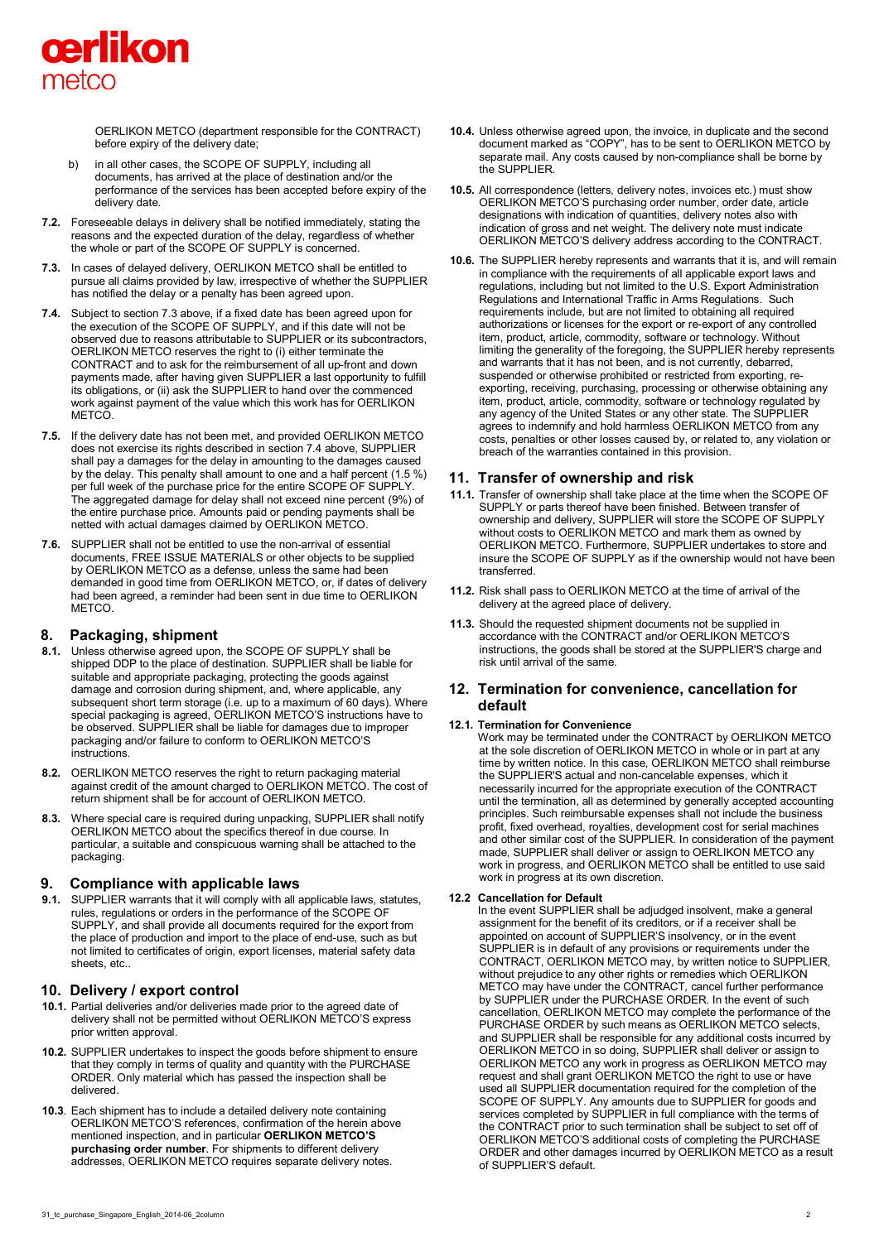

OERLIKON METCO (department responsible for the CONTRACT) before expiry of the delivery date;

- b) in all other cases, the SCOPE OF SUPPLY, including all documents, has arrived at the place of destination and/or the performance of the services has been accepted before expiry of the delivery date.
- **7.2.** Foreseeable delays in delivery shall be notified immediately, stating the reasons and the expected duration of the delay, regardless of whether the whole or part of the SCOPE OF SUPPLY is concerned.
- **7.3.** In cases of delayed delivery, OERLIKON METCO shall be entitled to pursue all claims provided by law, irrespective of whether the SUPPLIER has notified the delay or a penalty has been agreed upon.
- **7.4.** Subject to section 7.3 above, if a fixed date has been agreed upon for the execution of the SCOPE OF SUPPLY, and if this date will not be observed due to reasons attributable to SUPPLIER or its subcontractors, OERLIKON METCO reserves the right to (i) either terminate the CONTRACT and to ask for the reimbursement of all up-front and down payments made, after having given SUPPLIER a last opportunity to fulfill its obligations, or (ii) ask the SUPPLIER to hand over the commenced work against payment of the value which this work has for OERLIKON **METCO**
- **7.5.** If the delivery date has not been met, and provided OERLIKON METCO does not exercise its rights described in section 7.4 above, SUPPLIER shall pay a damages for the delay in amounting to the damages caused by the delay. This penalty shall amount to one and a half percent (1.5 %) per full week of the purchase price for the entire SCOPE OF SUPPLY. The aggregated damage for delay shall not exceed nine percent (9%) of the entire purchase price. Amounts paid or pending payments shall be netted with actual damages claimed by OERLIKON METCO.
- **7.6.** SUPPLIER shall not be entitled to use the non-arrival of essential documents, FREE ISSUE MATERIALS or other objects to be supplied by OERLIKON METCO as a defense, unless the same had been demanded in good time from OERLIKON METCO, or, if dates of delivery had been agreed, a reminder had been sent in due time to OERLIKON METCO.

## **8. Packaging, shipment**

- **8.1.** Unless otherwise agreed upon, the SCOPE OF SUPPLY shall be shipped DDP to the place of destination. SUPPLIER shall be liable for suitable and appropriate packaging, protecting the goods against damage and corrosion during shipment, and, where applicable, any subsequent short term storage (i.e. up to a maximum of 60 days). Where special packaging is agreed, OERLIKON METCO'S instructions have to be observed. SUPPLIER shall be liable for damages due to improper packaging and/or failure to conform to OERLIKON METCO'S instructions.
- **8.2.** OERLIKON METCO reserves the right to return packaging material against credit of the amount charged to OERLIKON METCO. The cost of return shipment shall be for account of OERLIKON METCO.
- **8.3.** Where special care is required during unpacking, SUPPLIER shall notify OERLIKON METCO about the specifics thereof in due course. In particular, a suitable and conspicuous warning shall be attached to the packaging.

#### **9. Compliance with applicable laws**

**9.1.** SUPPLIER warrants that it will comply with all applicable laws, statutes, rules, regulations or orders in the performance of the SCOPE OF SUPPLY, and shall provide all documents required for the export from the place of production and import to the place of end-use, such as but not limited to certificates of origin, export licenses, material safety data sheets, etc..

## **10. Delivery / export control**

- **10.1.** Partial deliveries and/or deliveries made prior to the agreed date of delivery shall not be permitted without OERLIKON METCO'S express prior written approval.
- **10.2.** SUPPLIER undertakes to inspect the goods before shipment to ensure that they comply in terms of quality and quantity with the PURCHASE ORDER. Only material which has passed the inspection shall be delivered.
- **10.3**. Each shipment has to include a detailed delivery note containing OERLIKON METCO'S references, confirmation of the herein above mentioned inspection, and in particular **OERLIKON METCO'S purchasing order number**. For shipments to different delivery addresses, OERLIKON METCO requires separate delivery notes.
- **10.4.** Unless otherwise agreed upon, the invoice, in duplicate and the second document marked as "COPY", has to be sent to OERLIKON METCO by separate mail. Any costs caused by non-compliance shall be borne by the SUPPLIER.
- **10.5.** All correspondence (letters, delivery notes, invoices etc.) must show OERLIKON METCO'S purchasing order number, order date, article designations with indication of quantities, delivery notes also with indication of gross and net weight. The delivery note must indicate OERLIKON METCO'S delivery address according to the CONTRACT.
- **10.6.** The SUPPLIER hereby represents and warrants that it is, and will remain in compliance with the requirements of all applicable export laws and regulations, including but not limited to the U.S. Export Administration Regulations and International Traffic in Arms Regulations. Such requirements include, but are not limited to obtaining all required authorizations or licenses for the export or re-export of any controlled item, product, article, commodity, software or technology. Without limiting the generality of the foregoing, the SUPPLIER hereby represents and warrants that it has not been, and is not currently, debarred, suspended or otherwise prohibited or restricted from exporting, reexporting, receiving, purchasing, processing or otherwise obtaining any item, product, article, commodity, software or technology regulated by any agency of the United States or any other state. The SUPPLIER agrees to indemnify and hold harmless OERLIKON METCO from any costs, penalties or other losses caused by, or related to, any violation or breach of the warranties contained in this provision.

## **11. Transfer of ownership and risk**

- **11.1.** Transfer of ownership shall take place at the time when the SCOPE OF SUPPLY or parts thereof have been finished. Between transfer of ownership and delivery, SUPPLIER will store the SCOPE OF SUPPLY without costs to OERLIKON METCO and mark them as owned by OERLIKON METCO. Furthermore, SUPPLIER undertakes to store and insure the SCOPE OF SUPPLY as if the ownership would not have been transferred.
- **11.2.** Risk shall pass to OERLIKON METCO at the time of arrival of the delivery at the agreed place of delivery.
- **11.3.** Should the requested shipment documents not be supplied in accordance with the CONTRACT and/or OERLIKON METCO'S instructions, the goods shall be stored at the SUPPLIER'S charge and risk until arrival of the same.

## **12. Termination for convenience, cancellation for default**

#### **12.1. Termination for Convenience**

Work may be terminated under the CONTRACT by OERLIKON METCO at the sole discretion of OERLIKON METCO in whole or in part at any time by written notice. In this case, OERLIKON METCO shall reimburse the SUPPLIER'S actual and non-cancelable expenses, which it necessarily incurred for the appropriate execution of the CONTRACT until the termination, all as determined by generally accepted accounting principles. Such reimbursable expenses shall not include the business profit, fixed overhead, royalties, development cost for serial machines and other similar cost of the SUPPLIER. In consideration of the payment made, SUPPLIER shall deliver or assign to OERLIKON METCO any work in progress, and OERLIKON METCO shall be entitled to use said work in progress at its own discretion.

#### **12.2 Cancellation for Default**

In the event SUPPLIER shall be adjudged insolvent, make a general assignment for the benefit of its creditors, or if a receiver shall be appointed on account of SUPPLIER'S insolvency, or in the event SUPPLIER is in default of any provisions or requirements under the CONTRACT, OERLIKON METCO may, by written notice to SUPPLIER, without prejudice to any other rights or remedies which OERLIKON METCO may have under the CONTRACT, cancel further performance by SUPPLIER under the PURCHASE ORDER. In the event of such cancellation, OERLIKON METCO may complete the performance of the PURCHASE ORDER by such means as OERLIKON METCO selects and SUPPLIER shall be responsible for any additional costs incurred by OERLIKON METCO in so doing, SUPPLIER shall deliver or assign to OERLIKON METCO any work in progress as OERLIKON METCO may request and shall grant OERLIKON METCO the right to use or have used all SUPPLIER documentation required for the completion of the SCOPE OF SUPPLY. Any amounts due to SUPPLIER for goods and services completed by SUPPLIER in full compliance with the terms of the CONTRACT prior to such termination shall be subject to set off of OERLIKON METCO'S additional costs of completing the PURCHASE ORDER and other damages incurred by OERLIKON METCO as a result of SUPPLIER'S default.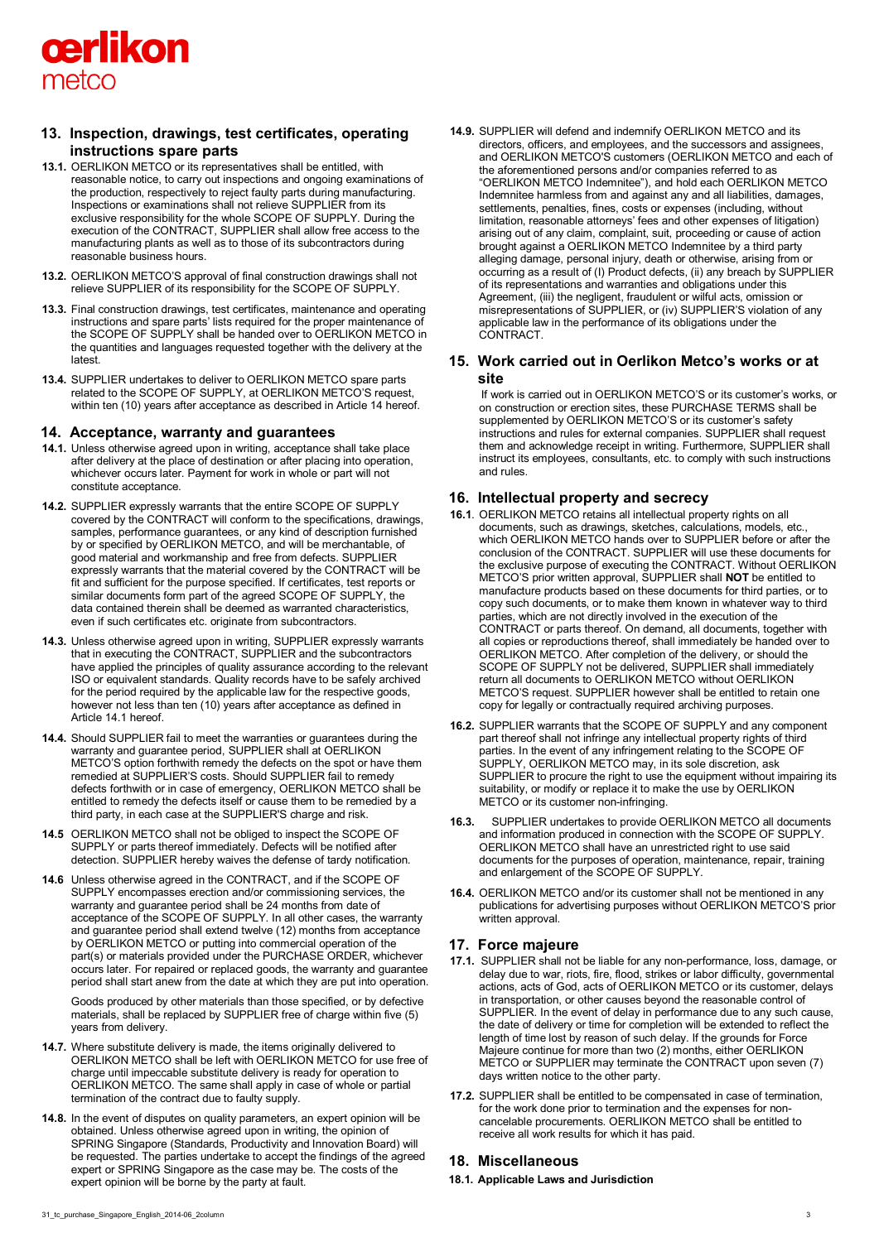

## **13. Inspection, drawings, test certificates, operating instructions spare parts**

- **13.1.** OERLIKON METCO or its representatives shall be entitled, with reasonable notice, to carry out inspections and ongoing examinations of the production, respectively to reject faulty parts during manufacturing. Inspections or examinations shall not relieve SUPPLIER from its exclusive responsibility for the whole SCOPE OF SUPPLY. During the execution of the CONTRACT, SUPPLIER shall allow free access to the manufacturing plants as well as to those of its subcontractors during reasonable business hours.
- **13.2.** OERLIKON METCO'S approval of final construction drawings shall not relieve SUPPLIER of its responsibility for the SCOPE OF SUPPLY.
- **13.3.** Final construction drawings, test certificates, maintenance and operating instructions and spare parts' lists required for the proper maintenance of the SCOPE OF SUPPLY shall be handed over to OERLIKON METCO in the quantities and languages requested together with the delivery at the latest.
- **13.4.** SUPPLIER undertakes to deliver to OERLIKON METCO spare parts related to the SCOPE OF SUPPLY, at OERLIKON METCO'S request, within ten (10) years after acceptance as described in Article 14 hereof.

#### **14. Acceptance, warranty and guarantees**

- **14.1.** Unless otherwise agreed upon in writing, acceptance shall take place after delivery at the place of destination or after placing into operation, whichever occurs later. Payment for work in whole or part will not constitute acceptance.
- **14.2.** SUPPLIER expressly warrants that the entire SCOPE OF SUPPLY covered by the CONTRACT will conform to the specifications, drawings, samples, performance guarantees, or any kind of description furnished by or specified by OERLIKON METCO, and will be merchantable, of good material and workmanship and free from defects. SUPPLIER expressly warrants that the material covered by the CONTRACT will be fit and sufficient for the purpose specified. If certificates, test reports or similar documents form part of the agreed SCOPE OF SUPPLY, the data contained therein shall be deemed as warranted characteristics, even if such certificates etc. originate from subcontractors.
- **14.3.** Unless otherwise agreed upon in writing, SUPPLIER expressly warrants that in executing the CONTRACT, SUPPLIER and the subcontractors have applied the principles of quality assurance according to the relevant ISO or equivalent standards. Quality records have to be safely archived for the period required by the applicable law for the respective goods, however not less than ten (10) years after acceptance as defined in Article 14.1 hereof.
- **14.4.** Should SUPPLIER fail to meet the warranties or guarantees during the warranty and guarantee period, SUPPLIER shall at OERLIKON METCO'S option forthwith remedy the defects on the spot or have them remedied at SUPPLIER'S costs. Should SUPPLIER fail to remedy defects forthwith or in case of emergency, OERLIKON METCO shall be entitled to remedy the defects itself or cause them to be remedied by a third party, in each case at the SUPPLIER'S charge and risk.
- **14.5** OERLIKON METCO shall not be obliged to inspect the SCOPE OF SUPPLY or parts thereof immediately. Defects will be notified after detection. SUPPLIER hereby waives the defense of tardy notification.
- **14.6** Unless otherwise agreed in the CONTRACT, and if the SCOPE OF SUPPLY encompasses erection and/or commissioning services, the warranty and guarantee period shall be 24 months from date of acceptance of the SCOPE OF SUPPLY. In all other cases, the warranty and guarantee period shall extend twelve (12) months from acceptance by OERLIKON METCO or putting into commercial operation of the part(s) or materials provided under the PURCHASE ORDER, whichever occurs later. For repaired or replaced goods, the warranty and guarantee period shall start anew from the date at which they are put into operation.

Goods produced by other materials than those specified, or by defective materials, shall be replaced by SUPPLIER free of charge within five (5) years from delivery.

- **14.7.** Where substitute delivery is made, the items originally delivered to OERLIKON METCO shall be left with OERLIKON METCO for use free of charge until impeccable substitute delivery is ready for operation to OERLIKON METCO. The same shall apply in case of whole or partial termination of the contract due to faulty supply.
- **14.8.** In the event of disputes on quality parameters, an expert opinion will be obtained. Unless otherwise agreed upon in writing, the opinion of SPRING Singapore (Standards, Productivity and Innovation Board) will be requested. The parties undertake to accept the findings of the agreed expert or SPRING Singapore as the case may be. The costs of the expert opinion will be borne by the party at fault.

**14.9.** SUPPLIER will defend and indemnify OERLIKON METCO and its directors, officers, and employees, and the successors and assignees, and OERLIKON METCO'S customers (OERLIKON METCO and each of the aforementioned persons and/or companies referred to as "OERLIKON METCO Indemnitee"), and hold each OERLIKON METCO Indemnitee harmless from and against any and all liabilities, damages, settlements, penalties, fines, costs or expenses (including, without limitation, reasonable attorneys' fees and other expenses of litigation) arising out of any claim, complaint, suit, proceeding or cause of action brought against a OERLIKON METCO Indemnitee by a third party alleging damage, personal injury, death or otherwise, arising from or occurring as a result of (I) Product defects, (ii) any breach by SUPPLIER of its representations and warranties and obligations under this Agreement, (iii) the negligent, fraudulent or wilful acts, omission or misrepresentations of SUPPLIER, or (iv) SUPPLIER'S violation of any applicable law in the performance of its obligations under the CONTRACT.

## **15. Work carried out in Oerlikon Metco's works or at site**

If work is carried out in OERLIKON METCO'S or its customer's works, or on construction or erection sites, these PURCHASE TERMS shall be supplemented by OERLIKON METCO'S or its customer's safety instructions and rules for external companies. SUPPLIER shall request them and acknowledge receipt in writing. Furthermore, SUPPLIER shall instruct its employees, consultants, etc. to comply with such instructions and rules.

## **16. Intellectual property and secrecy**

- **16.1**. OERLIKON METCO retains all intellectual property rights on all documents, such as drawings, sketches, calculations, models, etc., which OERLIKON METCO hands over to SUPPLIER before or after the conclusion of the CONTRACT. SUPPLIER will use these documents for the exclusive purpose of executing the CONTRACT. Without OERLIKON METCO'S prior written approval, SUPPLIER shall **NOT** be entitled to manufacture products based on these documents for third parties, or to copy such documents, or to make them known in whatever way to third parties, which are not directly involved in the execution of the CONTRACT or parts thereof. On demand, all documents, together with all copies or reproductions thereof, shall immediately be handed over to OERLIKON METCO. After completion of the delivery, or should the SCOPE OF SUPPLY not be delivered, SUPPLIER shall immediately return all documents to OERLIKON METCO without OERLIKON METCO'S request. SUPPLIER however shall be entitled to retain one copy for legally or contractually required archiving purposes.
- **16.2.** SUPPLIER warrants that the SCOPE OF SUPPLY and any component part thereof shall not infringe any intellectual property rights of third parties. In the event of any infringement relating to the SCOPE OF SUPPLY, OERLIKON METCO may, in its sole discretion, ask SUPPLIER to procure the right to use the equipment without impairing its suitability, or modify or replace it to make the use by OERLIKON METCO or its customer non-infringing.
- **16.3.** SUPPLIER undertakes to provide OERLIKON METCO all documents and information produced in connection with the SCOPE OF SUPPLY. OERLIKON METCO shall have an unrestricted right to use said documents for the purposes of operation, maintenance, repair, training and enlargement of the SCOPE OF SUPPLY.
- **16.4.** OERLIKON METCO and/or its customer shall not be mentioned in any publications for advertising purposes without OERLIKON METCO'S prior written approval.

## **17. Force majeure**

- **17.1.** SUPPLIER shall not be liable for any non-performance, loss, damage, or delay due to war, riots, fire, flood, strikes or labor difficulty, governmental actions, acts of God, acts of OERLIKON METCO or its customer, delays in transportation, or other causes beyond the reasonable control of SUPPLIER. In the event of delay in performance due to any such cause, the date of delivery or time for completion will be extended to reflect the length of time lost by reason of such delay. If the grounds for Force Majeure continue for more than two (2) months, either OERLIKON METCO or SUPPLIER may terminate the CONTRACT upon seven (7) days written notice to the other party.
- **17.2.** SUPPLIER shall be entitled to be compensated in case of termination, for the work done prior to termination and the expenses for noncancelable procurements. OERLIKON METCO shall be entitled to receive all work results for which it has paid.

## **18. Miscellaneous**

**18.1. Applicable Laws and Jurisdiction**